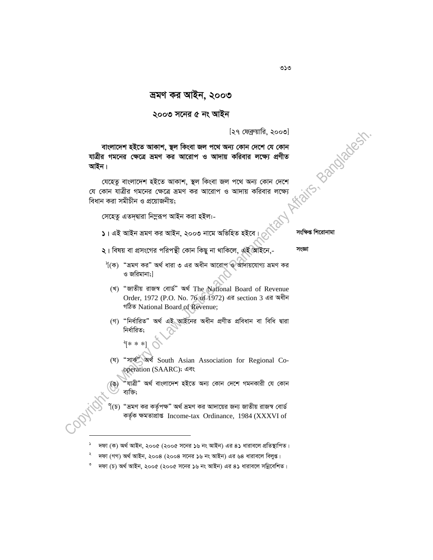## ২০০৩ সনের ৫ নং আইন

[২৭ ফেব্রুয়ারি, ২০০৩]

Affairs, Bandadesh বাংলাদেশ হইতে আকাশ, স্থল কিংবা জল পথে অন্য কোন দেশে যে কোন যাত্রীর গমনের ক্ষেত্রে ভ্রমণ কর আরোপ ও আদায় করিবার লক্ষ্যে প্রণীত আইন।

যেহেতু বাংলাদেশ হইতে আকাশ, স্থল কিংবা জল পথে অন্য কোন দেশে যে কোন যাত্রীর গমনের ক্ষেত্রে ভ্রমণ কর আরোপ ও আদায় করিবার লক্ষ্যে বিধান করা সমীচীন ও প্রয়োজনীয়:

সেহেত এতদদ্বারা নিম্নরূপ আইন করা হইল:-

 $\overline{\lambda}$ । এই আইন ভ্ৰমণ কর আইন, ২০০৩ নামে অভিহিত হইবে।

সংক্ষিপ্ত শিৱোনামা

সংজ্ঞা

- ২। বিষয় বা প্রসংগের পরিপন্থী কোন কিছু না থাকিলে, এই আইনে,-
- $\delta$  (ক) "ভ্রমণ কর" অর্থ ধারা ৩ এর অধীন আরোপ ও আদায়যোগ্য ভ্রমণ কর ও জরিমানা:l
	- (খ) "জাতীয় রাজস্ব বোর্ড" অর্থ The National Board of Revenue Order, 1972 (P.O. No. 76 of 1972) এর section 3 এর অধীন গঠিত National Board of Revenue;
	- (গ) "নিৰ্ধাৱিত" অৰ্থ এই আইনেৱ অধীন প্ৰণীত প্ৰবিধান বা বিধি দ্বাৱা নিৰ্ধাৱিত:
		- $\left. \begin{matrix} \ast & \ast & \ast \end{matrix} \right|$
	- (घ) "সাক<sup>"</sup> অৰ্থ South Asian Association for Regional Cooperation (SAARC); এবং

"যাত্ৰী" অৰ্থ বাংলাদেশ হইতে অন্য কোন দেশে গমনকারী যে কোন (ঙ) ব্যক্তি:

"ভ্রমণ কর কর্তৃপক্ষ" অর্থ ভ্রমণ কর আদায়ের জন্য জাতীয় রাজস্ব বোর্ড  $\mathfrak{g}(\mathfrak{d})$ কর্তৃক ক্ষমতাপ্রাপ্ত Income-tax Ordinance, 1984 (XXXVI of

৩১৩

দফা (ক) অর্থ আইন, ২০০৫ (২০০৫ সনের ১৬ নং আইন) এর ৪১ ধারাবলে প্রতিস্থাপিত।

দফা (গগ) অর্থ আইন, ২০০৪ (২০০৪ সনের ১৬ নং আইন) এর ৬৪ ধারাবলে বিলুপ্ত।

 $^{\circ}$  দফা (চ) অর্থ আইন, ২০০৫ (২০০৫ সনের ১৬ নং আইন) এর ৪১ ধারাবলে সন্নিবেশিত।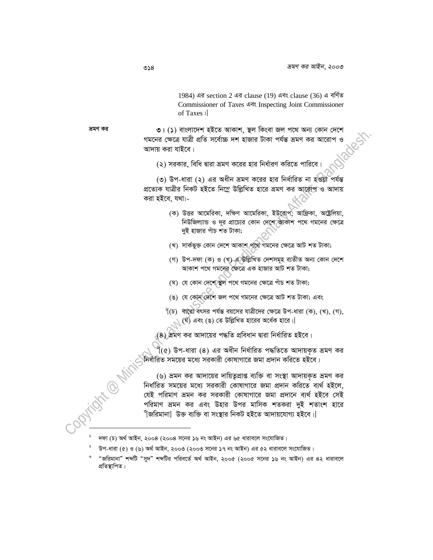1984) এর section 2 এর clause (19) এবং clause (36) এ বর্ণিত Commissioner of Taxes এবং Inspecting Joint Commissioner of Taxes | ভ্ৰমণ কর ৩। (১) বাংলাদেশ হইতে আকাশ, স্থল কিংবা জল পথে অন্য কোন দেশে গমনের ক্ষেত্রে যাত্রী প্রতি সর্বোচ্চ দশ হাজার টাকা পর্যন্ত ভ্রমণ কর আরোপ আদায় করা যাইবে। (২) সরকার, বিধি দ্বারা ভ্রমণ করের হার নির্ধারণ করিতে পারিবে। (৩) উপ-ধারা (২) এর অধীন ভ্রমণ করের হার নির্ধারিত না হওয়া পর্যন্ত প্রত্যেক যাত্রীর নিকট হইতে নিম্নে উল্লিখিত হারে ভ্রমণ কর আরোপ ও আদায় করা হইবে, যথা:-(ক) উত্তর আমেরিকা, দক্ষিণ আমেরিকা, ইউরোপ, আফ্রিকা, অষ্ট্রেলিয়া, নিউজিল্যান্ড ও দূর প্রাচ্যের কোন দেশে আকাশ পথে গমনের ক্ষেত্রে দই হাজার পাঁচ শত টাকা: (খ) সার্কভুক্ত কোন দেশে আকাশ পথে গমনের ক্ষেত্রে আট শত টাকা; (গ) উপ-দফা (ক) ও (খ) এ উল্লিখিত দেশসমূহ ব্যতীত অন্য কোন দেশে আকাশ পথে গমনের ক্ষেত্রে এক হাজার আট শত টাকা; (ঘ) যে কোন দেশে স্থল পথে গমনের ক্ষেত্রে পাঁচ শত টাকা; (ঙ) যে কোন দেশে জল পথে গমনের ক্ষেত্রে আট শত টাকা; এবং  $\hat{P}$ (চ) বারো বৎসর পর্যন্ত বয়সের যাত্রীদের ক্ষেত্রে উপ-ধারা (ক), (খ), (গ),  $\bigcup$  (ঘ) এবং (ঙ) তে উল্লিখিত হারের অর্ধেক হারে।] (8) ভ্রমণ কর আদায়ের পদ্ধতি প্রবিধান দ্বারা নির্ধারিত হইবে।  $\hat{\mathfrak{k}}(\mathfrak{e})$  উপ-ধারা  $(8)$  এর অধীন নির্ধারিত পদ্ধতিতে আদায়কৃত ভ্রমণ কর নির্ধারিত সময়ের মধ্যে সরকারী কোষাগারে জমা প্রদান করিতে হইবে। (৬) ভ্রমন কর আদায়ের দায়িতৃপ্রাপ্ত ব্যক্তি বা সংস্থা আদায়কৃত ভ্রমণ কর নির্ধারিত সময়ের মধ্যে সরকারী কোষাগারে জমা প্রদান করিতে ব্যর্থ হইলে, যেই পরিমাণ ভ্রমন কর সরকারী কোষাগারে জমা প্রদানে ব্যর্থ হইবে সেই পরিমাণ ভ্রমন কর এবং উহার উপর মাসিক শতকরা দুই শতাংশ হারে ঁ'জরিমানা| উক্ত ব্যক্তি বা সংস্থার নিকট হইতে আদায়যোগ্য হইবে।।

- $\degree$  দফা (চ) অর্থ আইন, ২০০৪ (২০০৪ সনের ১৬ নং আইন) এর ৬৫ ধারাবলে সংযোজিত।
- উপ-ধারা (৫) ও (৬) অর্থ আইন, ২০০৩ (২০০৩ সনের ১৭ নং আইন) এর ৫২ ধারাবলে সংযোজিত।

<sup>&</sup>quot;জরিমানা" শব্দটি "সুদ" শব্দটির পরিবর্তে অর্থ আইন, ২০০৫ (২০০৫ সনের ১৬ নং আইন) এর ৪২ ধারাবলে প্ৰতিস্থাপিত।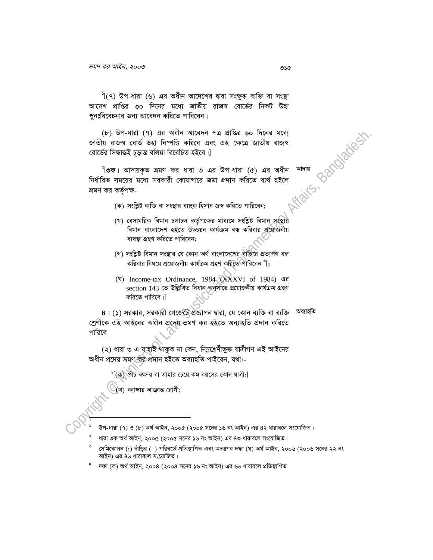<sup>১</sup>[(৭) উপ-ধারা (৬) এর অধীন আদেশের দ্বারা সংক্ষুব্ধ ব্যক্তি বা সংস্থা আদেশ প্রাপ্তির ৩০ দিনের মধ্যে জাতীয় রাজস্ব বোর্ডের নিকট উহা পুনঃবিবেচনার জন্য আবেদন করিতে পারিবেন।

(৮) উপ-ধারা (৭) এর অধীন আবেদন পত্র প্রাপ্তির ৬০ দিনের মধ্যে জাতীয় রাজস্ব বোর্ড উহা নিম্পত্তি করিবে এবং এই ক্ষেত্রে জাতীয় রাজস্ব বোৰ্ডের সিদ্ধান্তই চূড়ান্ত বলিয়া বিবেচিত হইবে।]

Kfaits, partyladesh <sup>ৰ</sup>তি**ক।** আদায়কৃত ভ্ৰমণ কর ধারা ৩ এর উপ-ধারা (৫) এর অধীন নির্ধারিত সময়ের মধ্যে সরকারী কোষাগারে জমা প্রদান করিতে ব্যর্থ হইলে ভ্ৰমণ কর কর্তৃপক্ষ-

- (ক) সংশ্লিষ্ট ব্যক্তি বা সংস্থার ব্যাংক হিসাব জব্দ করিতে পারিবেন;
- (খ) বেসামরিক বিমান চলাচল কর্তৃপক্ষের মাধ্যমে সংশ্লিষ্ট বিমান সংস্থার বিমান বাংলাদেশ হইতে উড্ডয়ন কাৰ্যক্ৰম বন্ধ করিবার প্রয়োজনীয় ব্যবস্থা গ্রহণ করিতে পারিবেন;
- (গ) সংশ্লিষ্ট বিমান সংস্থার যে কোন অর্থ বাংলাদেশের বাহিরে প্রত্যর্পণ বন্ধ করিবার বিষয়ে প্রয়োজনীয় কার্যক্রম গ্রহণ করিতে পারিবেন <sup>৩</sup>৷:
- (घ) Income-tax Ordinance, 1984 (XXXVI of 1984) এর section 143 তে উল্লিখিত বিধান অনুসারে প্রয়োজনীয় কার্যক্রম গ্রহণ করিতে পারিবে।।

৪। (১) সরকার, সরকারী গেজেটে প্রজ্ঞাপন দ্বারা, যে কোন ব্যক্তি বা ব্যক্তি অব্যাহতি শ্রেণীকে এই আইনের অধীন প্রদেয় ভ্রমণ কর হইতে অব্যাহতি প্রদান করিতে পারিবে।

(২) ধারা ৩ এ যাহাই থাকুক না কেন, নিম্লশ্রেণীভুক্ত যাত্রীগণ এই আইনের অধীন প্ৰদেয় ভ্ৰমণ কৰু প্ৰদান হইতে অব্যাহতি পাইবেন, যথা:-

পাঁচ বৎসর বা তাহার চেয়ে কম বয়সের কোন যাত্রী;]

'খ) ক্যান্সার আক্রান্ত রোগী;

- উপ-ধারা (৭) ও (৮) অর্থ আইন, ২০০৫ (২০০৫ সনের ১৬ নং আইন) এর ৪২ ধারাবলে সংযোজিত।
- ধারা ৩ক অর্থ আইন, ২০০৫ (২০০৫ সনের ১৬ নং আইন) এর ৪৩ ধারাবলে সংযোজিত।
- সেমিকোলন (;) দাঁড়ির (।) পরিবর্তে প্রতিস্থাপিত এবং অতঃপর দফা (ঘ) অর্থ আইন, ২০০৬ (২০০৬ সনের ২২ নং আইন) এর ৪৬ ধারাবলে সংযোজিত।
- দফা (ক) অৰ্থ আইন, ২০০৪ (২০০৪ সনের ১৬ নং আইন) এর ৬৬ ধারাবলে প্রতিস্থাপিত।